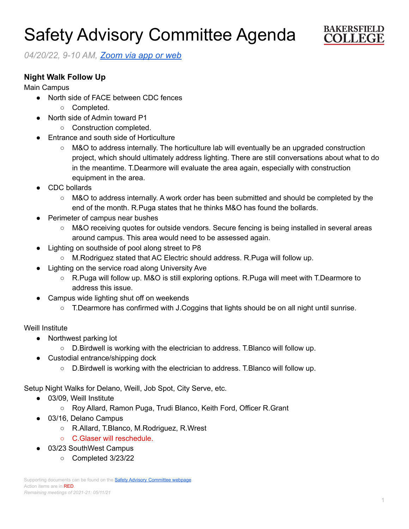# Safety Advisory Committee Agenda



*04/20/22, 9-10 AM, [Zoom](https://cccconfer.zoom.us/j/95588517472?pwd=OTV2dmFlMHN3dWkxRndrem1YL2dQQT09) via app or web*

## **Night Walk Follow Up**

Main Campus

- North side of FACE between CDC fences
	- Completed.
- North side of Admin toward P1
	- Construction completed.
- **Entrance and south side of Horticulture** 
	- M&O to address internally. The horticulture lab will eventually be an upgraded construction project, which should ultimately address lighting. There are still conversations about what to do in the meantime. T.Dearmore will evaluate the area again, especially with construction equipment in the area.
- CDC bollards
	- M&O to address internally. A work order has been submitted and should be completed by the end of the month. R.Puga states that he thinks M&O has found the bollards.
- **Perimeter of campus near bushes** 
	- M&O receiving quotes for outside vendors. Secure fencing is being installed in several areas around campus. This area would need to be assessed again.
- Lighting on southside of pool along street to P8
	- M.Rodriguez stated that AC Electric should address. R.Puga will follow up.
- Lighting on the service road along University Ave
	- R.Puga will follow up. M&O is still exploring options. R.Puga will meet with T.Dearmore to address this issue.
- Campus wide lighting shut off on weekends
	- T.Dearmore has confirmed with J.Coggins that lights should be on all night until sunrise.

## Weill Institute

- Northwest parking lot
	- D.Birdwell is working with the electrician to address. T.Blanco will follow up.
- Custodial entrance/shipping dock
	- D.Birdwell is working with the electrician to address. T.Blanco will follow up.

Setup Night Walks for Delano, Weill, Job Spot, City Serve, etc.

- 03/09, Weill Institute
	- Roy Allard, Ramon Puga, Trudi Blanco, Keith Ford, Officer R.Grant
- 03/16, Delano Campus
	- R.Allard, T.Blanco, M.Rodriguez, R.Wrest
	- C.Glaser will reschedule.
- 03/23 SouthWest Campus
	- Completed 3/23/22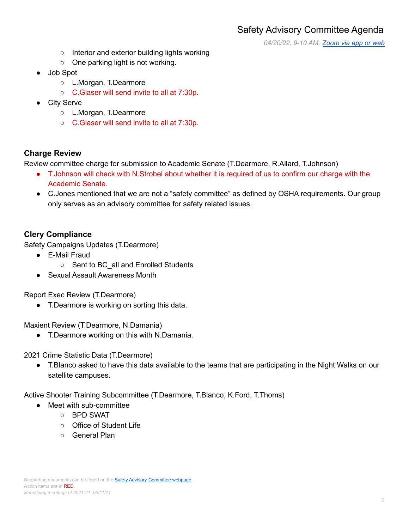*04/20/22, 9-10 AM, [Zoom](https://cccconfer.zoom.us/j/95588517472?pwd=OTV2dmFlMHN3dWkxRndrem1YL2dQQT09) via app or web*

- Interior and exterior building lights working
- One parking light is not working.
- Job Spot
	- L.Morgan, T.Dearmore
	- C.Glaser will send invite to all at 7:30p.
- **City Serve** 
	- L.Morgan, T.Dearmore
	- C.Glaser will send invite to all at 7:30p.

#### **Charge Review**

Review committee charge for submission to Academic Senate (T.Dearmore, R.Allard, T.Johnson)

- T.Johnson will check with N.Strobel about whether it is required of us to confirm our charge with the Academic Senate.
- C.Jones mentioned that we are not a "safety committee" as defined by OSHA requirements. Our group only serves as an advisory committee for safety related issues.

## **Clery Compliance**

Safety Campaigns Updates (T.Dearmore)

- E-Mail Fraud
	- Sent to BC all and Enrolled Students
- Sexual Assault Awareness Month

Report Exec Review (T.Dearmore)

● T.Dearmore is working on sorting this data.

Maxient Review (T.Dearmore, N.Damania)

● T.Dearmore working on this with N.Damania.

2021 Crime Statistic Data (T.Dearmore)

● T.Blanco asked to have this data available to the teams that are participating in the Night Walks on our satellite campuses.

Active Shooter Training Subcommittee (T.Dearmore, T.Blanco, K.Ford, T.Thoms)

- Meet with sub-committee
	- BPD SWAT
	- Office of Student Life
	- General Plan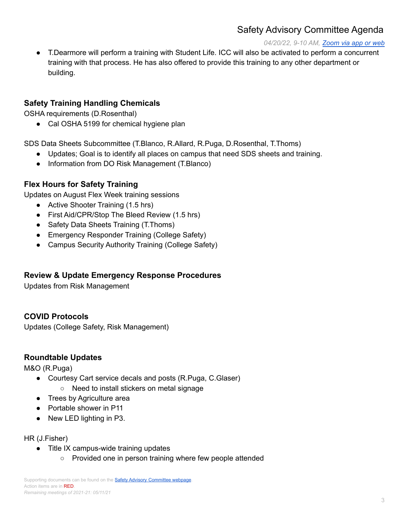# Safety Advisory Committee Agenda

#### *04/20/22, 9-10 AM, [Zoom](https://cccconfer.zoom.us/j/95588517472?pwd=OTV2dmFlMHN3dWkxRndrem1YL2dQQT09) via app or web*

● T.Dearmore will perform a training with Student Life. ICC will also be activated to perform a concurrent training with that process. He has also offered to provide this training to any other department or building.

#### **Safety Training Handling Chemicals**

OSHA requirements (D.Rosenthal)

● Cal OSHA 5199 for chemical hygiene plan

SDS Data Sheets Subcommittee (T.Blanco, R.Allard, R.Puga, D.Rosenthal, T.Thoms)

- Updates; Goal is to identify all places on campus that need SDS sheets and training.
- Information from DO Risk Management (T.Blanco)

## **Flex Hours for Safety Training**

Updates on August Flex Week training sessions

- Active Shooter Training (1.5 hrs)
- First Aid/CPR/Stop The Bleed Review (1.5 hrs)
- Safety Data Sheets Training (T.Thoms)
- Emergency Responder Training (College Safety)
- Campus Security Authority Training (College Safety)

## **Review & Update Emergency Response Procedures**

Updates from Risk Management

## **COVID Protocols**

Updates (College Safety, Risk Management)

#### **Roundtable Updates**

M&O (R.Puga)

- Courtesy Cart service decals and posts (R.Puga, C.Glaser)
	- Need to install stickers on metal signage
- Trees by Agriculture area
- Portable shower in P11
- New LED lighting in P3.

#### HR (J.Fisher)

- Title IX campus-wide training updates
	- Provided one in person training where few people attended